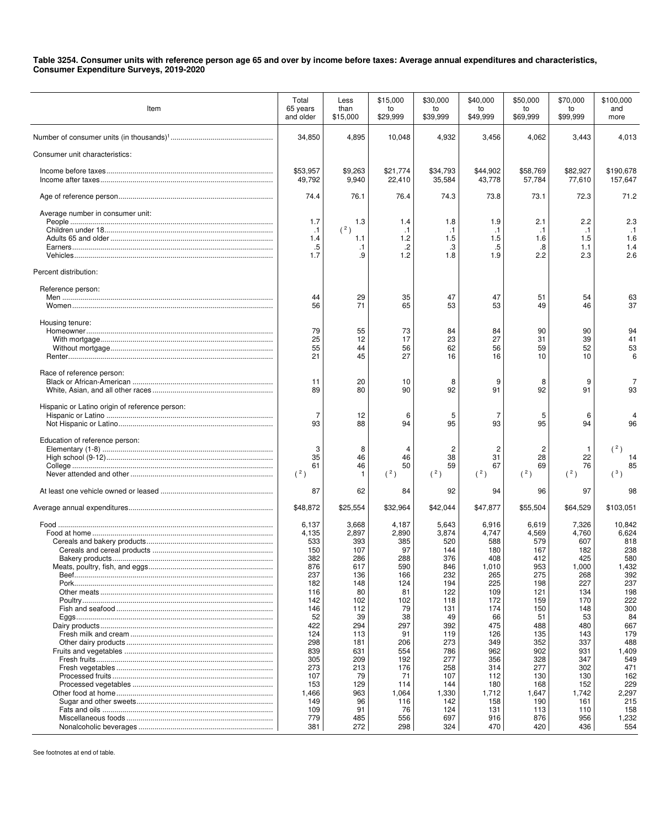## **Table 3254. Consumer units with reference person age 65 and over by income before taxes: Average annual expenditures and characteristics, Consumer Expenditure Surveys, 2019-2020**

| Item                                           | Total<br>65 years<br>and older                                                                                                       | Less<br>than<br>\$15,000                                                                                                           | \$15,000<br>to<br>\$29,999                                                                                                      | \$30,000<br>to<br>\$39,999                                                                                                           | \$40,000<br>to<br>\$49,999                                                                                                             | \$50,000<br>to<br>\$69,999                                                                                                           | \$70,000<br>to<br>\$99,999                                                                                                             | \$100,000<br>and<br>more                                                                                                                  |
|------------------------------------------------|--------------------------------------------------------------------------------------------------------------------------------------|------------------------------------------------------------------------------------------------------------------------------------|---------------------------------------------------------------------------------------------------------------------------------|--------------------------------------------------------------------------------------------------------------------------------------|----------------------------------------------------------------------------------------------------------------------------------------|--------------------------------------------------------------------------------------------------------------------------------------|----------------------------------------------------------------------------------------------------------------------------------------|-------------------------------------------------------------------------------------------------------------------------------------------|
|                                                | 34,850                                                                                                                               | 4,895                                                                                                                              | 10,048                                                                                                                          | 4,932                                                                                                                                | 3,456                                                                                                                                  | 4,062                                                                                                                                | 3,443                                                                                                                                  | 4,013                                                                                                                                     |
| Consumer unit characteristics:                 |                                                                                                                                      |                                                                                                                                    |                                                                                                                                 |                                                                                                                                      |                                                                                                                                        |                                                                                                                                      |                                                                                                                                        |                                                                                                                                           |
|                                                | \$53,957<br>49,792                                                                                                                   | \$9,263<br>9,940                                                                                                                   | \$21,774<br>22,410                                                                                                              | \$34,793<br>35,584                                                                                                                   | \$44,902<br>43,778                                                                                                                     | \$58,769<br>57,784                                                                                                                   | \$82,927<br>77,610                                                                                                                     | \$190,678<br>157,647                                                                                                                      |
|                                                | 74.4                                                                                                                                 | 76.1                                                                                                                               | 76.4                                                                                                                            | 74.3                                                                                                                                 | 73.8                                                                                                                                   | 73.1                                                                                                                                 | 72.3                                                                                                                                   | 71.2                                                                                                                                      |
| Average number in consumer unit:               | 1.7<br>$\cdot$ 1<br>1.4<br>.5<br>1.7                                                                                                 | 1.3<br>(2)<br>1.1<br>$\cdot$ 1<br>.9                                                                                               | 1.4<br>$\cdot$ 1<br>1.2<br>$\cdot$<br>1.2                                                                                       | 1.8<br>$\cdot$ 1<br>1.5<br>.3<br>1.8                                                                                                 | 1.9<br>$\cdot$ 1<br>1.5<br>.5<br>1.9                                                                                                   | 2.1<br>.1<br>1.6<br>.8<br>2.2                                                                                                        | 2.2<br>$\cdot$ 1<br>1.5<br>1.1<br>2.3                                                                                                  | 2.3<br>$\cdot$ 1<br>1.6<br>1.4<br>2.6                                                                                                     |
| Percent distribution:                          |                                                                                                                                      |                                                                                                                                    |                                                                                                                                 |                                                                                                                                      |                                                                                                                                        |                                                                                                                                      |                                                                                                                                        |                                                                                                                                           |
| Reference person:                              | 44<br>56                                                                                                                             | 29<br>71                                                                                                                           | 35<br>65                                                                                                                        | 47<br>53                                                                                                                             | 47<br>53                                                                                                                               | 51<br>49                                                                                                                             | 54<br>46                                                                                                                               | 63<br>37                                                                                                                                  |
| Housing tenure:                                | 79<br>25<br>55<br>21                                                                                                                 | 55<br>12<br>44<br>45                                                                                                               | 73<br>17<br>56<br>27                                                                                                            | 84<br>23<br>62<br>16                                                                                                                 | 84<br>27<br>56<br>16                                                                                                                   | 90<br>31<br>59<br>10                                                                                                                 | 90<br>39<br>52<br>10                                                                                                                   | 94<br>41<br>53<br>6                                                                                                                       |
| Race of reference person:                      | 11<br>89                                                                                                                             | 20<br>80                                                                                                                           | 10<br>90                                                                                                                        | 8<br>92                                                                                                                              | 9<br>91                                                                                                                                | 8<br>92                                                                                                                              | 9<br>91                                                                                                                                | 93                                                                                                                                        |
| Hispanic or Latino origin of reference person: | 7<br>93                                                                                                                              | 12<br>88                                                                                                                           | 6<br>94                                                                                                                         | 5<br>95                                                                                                                              | 7<br>93                                                                                                                                | 5<br>95                                                                                                                              | 6<br>94                                                                                                                                | 96                                                                                                                                        |
| Education of reference person:                 | 3<br>35<br>61<br>(2)                                                                                                                 | 8<br>46<br>46                                                                                                                      | 46<br>50<br>(2)                                                                                                                 | 2<br>38<br>59<br>(2)                                                                                                                 | $\overline{c}$<br>31<br>67<br>(2)                                                                                                      | $\overline{c}$<br>28<br>69<br>(2)                                                                                                    | -1<br>22<br>76<br>(2)                                                                                                                  | (2)<br>14<br>85<br>$(^3)$                                                                                                                 |
|                                                | 87                                                                                                                                   | 62                                                                                                                                 | 84                                                                                                                              | 92                                                                                                                                   | 94                                                                                                                                     | 96                                                                                                                                   | 97                                                                                                                                     | 98                                                                                                                                        |
|                                                | \$48,872                                                                                                                             | \$25,554                                                                                                                           | \$32,964                                                                                                                        | \$42,044                                                                                                                             | \$47,877                                                                                                                               | \$55,504                                                                                                                             | \$64,529                                                                                                                               | \$103,051                                                                                                                                 |
| Bakery products.                               | 6,137<br>4,135<br>533<br>150<br>382<br>876<br>237<br>182<br>116<br>142<br>146<br>52<br>422<br>124<br>298<br>839<br>305<br>273<br>107 | 3,668<br>2,897<br>393<br>107<br>286<br>617<br>136<br>148<br>80<br>102<br>112<br>39<br>294<br>113<br>181<br>631<br>209<br>213<br>79 | 4,187<br>2,890<br>385<br>97<br>288<br>590<br>166<br>124<br>81<br>102<br>79<br>38<br>297<br>91<br>206<br>554<br>192<br>176<br>71 | 5,643<br>3,874<br>520<br>144<br>376<br>846<br>232<br>194<br>122<br>118<br>131<br>49<br>392<br>119<br>273<br>786<br>277<br>258<br>107 | 6,916<br>4,747<br>588<br>180<br>408<br>1,010<br>265<br>225<br>109<br>172<br>174<br>66<br>475<br>126<br>349<br>962<br>356<br>314<br>112 | 6,619<br>4,569<br>579<br>167<br>412<br>953<br>275<br>198<br>121<br>159<br>150<br>51<br>488<br>135<br>352<br>902<br>328<br>277<br>130 | 7,326<br>4,760<br>607<br>182<br>425<br>1,000<br>268<br>227<br>134<br>170<br>148<br>53<br>480<br>143<br>337<br>931<br>347<br>302<br>130 | 10,842<br>6,624<br>818<br>238<br>580<br>1,432<br>392<br>237<br>198<br>222<br>300<br>84<br>667<br>179<br>488<br>1,409<br>549<br>471<br>162 |
|                                                | 153<br>1,466<br>149<br>109<br>779<br>381                                                                                             | 129<br>963<br>96<br>91<br>485<br>272                                                                                               | 114<br>1,064<br>116<br>76<br>556<br>298                                                                                         | 144<br>1,330<br>142<br>124<br>697<br>324                                                                                             | 180<br>1,712<br>158<br>131<br>916<br>470                                                                                               | 168<br>1,647<br>190<br>113<br>876<br>420                                                                                             | 152<br>1,742<br>161<br>110<br>956<br>436                                                                                               | 229<br>2,297<br>215<br>158<br>1,232<br>554                                                                                                |

See footnotes at end of table.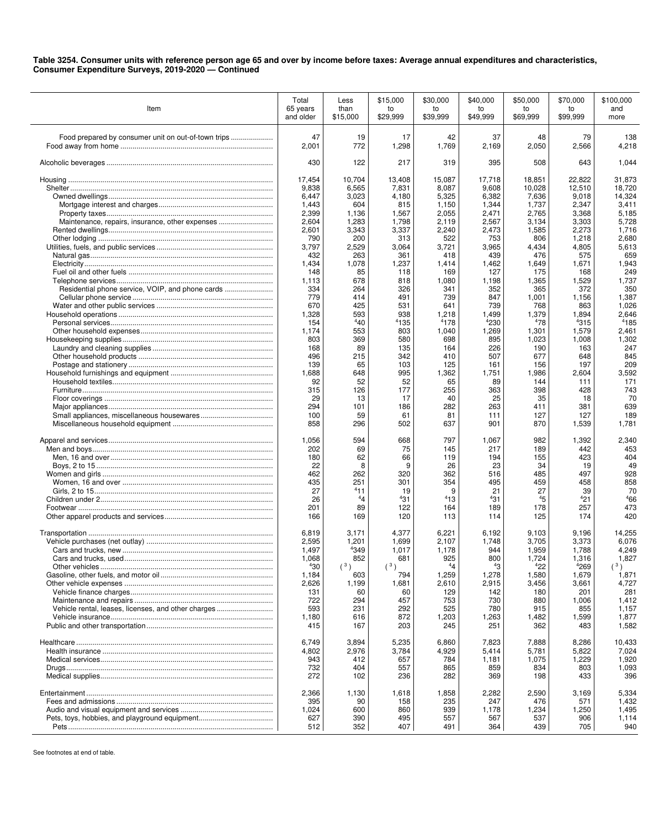## **Table 3254. Consumer units with reference person age 65 and over by income before taxes: Average annual expenditures and characteristics, Consumer Expenditure Surveys, 2019-2020 — Continued**

| Item                                                | Total<br>65 years<br>and older | Less<br>than<br>\$15,000 | \$15,000<br>to<br>\$29,999 | \$30,000<br>to<br>\$39,999 | \$40,000<br>to<br>\$49,999 | \$50,000<br>to<br>\$69,999 | \$70,000<br>to<br>\$99,999 | \$100,000<br>and<br>more |
|-----------------------------------------------------|--------------------------------|--------------------------|----------------------------|----------------------------|----------------------------|----------------------------|----------------------------|--------------------------|
|                                                     | 47<br>2,001                    | 19<br>772                | 17<br>1,298                | 42<br>1,769                | 37<br>2,169                | 48<br>2,050                | 79<br>2,566                | 138<br>4,218             |
|                                                     | 430                            | 122                      | 217                        | 319                        | 395                        | 508                        | 643                        | 1,044                    |
|                                                     | 17,454                         | 10,704                   | 13,408                     | 15,087                     | 17,718                     | 18,851                     | 22,822                     | 31,873                   |
|                                                     | 9,838<br>6,447                 | 6,565<br>3,023           | 7,831<br>4,180             | 8,087<br>5,325             | 9,608<br>6,382             | 10,028<br>7,636            | 12,510<br>9,018            | 18,720<br>14,324         |
|                                                     | 1,443                          | 604                      | 815                        | 1,150                      | 1,344                      | 1,737                      | 2,347                      | 3,411                    |
|                                                     | 2,399                          | 1,136                    | 1,567                      | 2,055                      | 2,471                      | 2,765                      | 3,368                      | 5,185                    |
| Maintenance, repairs, insurance, other expenses     | 2,604<br>2,601                 | 1,283<br>3,343           | 1,798                      | 2,119<br>2,240             | 2,567<br>2,473             | 3,134                      | 3,303<br>2,273             | 5,728<br>1,716           |
|                                                     | 790                            | 200                      | 3,337<br>313               | 522                        | 753                        | 1,585<br>806               | 1,218                      | 2,680                    |
|                                                     | 3,797                          | 2,529                    | 3,064                      | 3,721                      | 3,965                      | 4,434                      | 4,805                      | 5,613                    |
|                                                     | 432                            | 263                      | 361                        | 418                        | 439                        | 476                        | 575                        | 659<br>1,943             |
|                                                     | 1,434<br>148                   | 1,078<br>85              | 1,237<br>118               | 1,414<br>169               | 1,462<br>127               | 1,649<br>175               | 1,671<br>168               | 249                      |
|                                                     | 1,113                          | 678                      | 818                        | 1,080                      | 1,198                      | 1,365                      | 1,529                      | 1,737                    |
| Residential phone service, VOIP, and phone cards    | 334                            | 264                      | 326                        | 341                        | 352                        | 365                        | 372                        | 350                      |
|                                                     | 779<br>670                     | 414<br>425               | 491<br>531                 | 739<br>641                 | 847<br>739                 | 1,001<br>768               | 1,156<br>863               | 1,387<br>1,026           |
|                                                     | 1,328                          | 593                      | 938                        | 1,218                      | 1,499                      | 1,379                      | 1,894                      | 2,646                    |
|                                                     | 154                            | 440                      | 4135                       | 4178                       | 4230                       | 478                        | 4315                       | 4185                     |
|                                                     | 1,174                          | 553                      | 803                        | 1,040                      | 1,269                      | 1,301                      | 1,579                      | 2,461                    |
|                                                     | 803<br>168                     | 369<br>89                | 580<br>135                 | 698<br>164                 | 895<br>226                 | 1,023<br>190               | 1,008<br>163               | 1,302<br>247             |
|                                                     | 496                            | 215                      | 342                        | 410                        | 507                        | 677                        | 648                        | 845                      |
|                                                     | 139                            | 65                       | 103                        | 125                        | 161                        | 156                        | 197                        | 209                      |
|                                                     | 1,688<br>92                    | 648<br>52                | 995<br>52                  | 1,362<br>65                | 1,751<br>89                | 1,986<br>144               | 2,604<br>111               | 3,592<br>171             |
|                                                     | 315                            | 126                      | 177                        | 255                        | 363                        | 398                        | 428                        | 743                      |
|                                                     | 29                             | 13                       | 17                         | 40                         | 25                         | 35                         | 18                         | 70                       |
|                                                     | 294                            | 101                      | 186                        | 282                        | 263                        | 411                        | 381                        | 639                      |
|                                                     | 100<br>858                     | 59<br>296                | 61<br>502                  | 81<br>637                  | 111<br>901                 | 127<br>870                 | 127<br>1,539               | 189<br>1,781             |
|                                                     | 1,056                          | 594                      | 668                        | 797                        | 1,067                      | 982                        | 1,392                      | 2,340                    |
|                                                     | 202<br>180                     | 69<br>62                 | 75<br>66                   | 145<br>119                 | 217<br>194                 | 189<br>155                 | 442<br>423                 | 453<br>404               |
|                                                     | 22                             | 8                        | 9                          | 26                         | 23                         | 34                         | 19                         | 49                       |
|                                                     | 462                            | 262                      | 320                        | 362                        | 516                        | 485                        | 497                        | 928                      |
|                                                     | 435<br>27                      | 251<br>411               | 301<br>19                  | 354<br>9                   | 495<br>21                  | 459<br>27                  | 458<br>39                  | 858<br>70                |
|                                                     | 26                             | $^{4}4$                  | 431                        | 413                        | 431                        | 45                         | 421                        | 466                      |
|                                                     | 201                            | 89                       | 122                        | 164                        | 189                        | 178                        | 257                        | 473                      |
|                                                     | 166                            | 169                      | 120                        | 113                        | 114                        | 125                        | 174                        | 420                      |
|                                                     | 6,819                          | 3,171                    | 4,377                      | 6,221                      | 6,192                      | 9,103                      | 9,196                      | 14,255                   |
|                                                     | 2,595<br>1,497                 | 1,201<br>4349            | 1,699<br>1,017             | 2,107<br>1,178             | 1,748<br>944               | 3,705<br>1,959             | 3,373<br>1,788             | 6,076<br>4,249           |
|                                                     | 1,068                          | 852                      | 681                        | 925                        | 800                        | 1,724                      | 1,316                      | 1,827                    |
|                                                     | 430                            | (3)                      | (3)                        | 44                         | 43                         | 422                        | 4269                       | (3)                      |
|                                                     | 1,184                          | 603                      | 794                        | 1,259                      | 1,278                      | 1,580                      | 1,679                      | 1,871                    |
|                                                     | 2,626<br>131                   | 1,199<br>60              | 1,681<br>60                | 2,610<br>129               | 2,915<br>142               | 3,456<br>180               | 3,661<br>201               | 4,727<br>281             |
|                                                     | 722                            | 294                      | 457                        | 753                        | 730                        | 880                        | 1,006                      | 1,412                    |
| Vehicle rental, leases, licenses, and other charges | 593                            | 231                      | 292                        | 525                        | 780                        | 915                        | 855                        | 1,157                    |
|                                                     | 1,180<br>415                   | 616<br>167               | 872<br>203                 | 1,203<br>245               | 1,263<br>251               | 1,482<br>362               | 1,599<br>483               | 1,877<br>1,582           |
|                                                     | 6.749                          | 3,894                    | 5,235                      | 6,860                      | 7.823                      | 7,888                      | 8,286                      | 10,433                   |
|                                                     | 4,802                          | 2,976                    | 3,784                      | 4,929                      | 5,414                      | 5,781                      | 5,822                      | 7,024                    |
|                                                     | 943                            | 412                      | 657                        | 784                        | 1,181                      | 1,075                      | 1,229                      | 1,920                    |
|                                                     | 732<br>272                     | 404<br>102               | 557<br>236                 | 865<br>282                 | 859<br>369                 | 834<br>198                 | 803<br>433                 | 1,093<br>396             |
|                                                     | 2,366                          | 1,130                    | 1,618                      | 1,858                      | 2,282                      | 2,590                      | 3,169                      | 5,334                    |
|                                                     | 395<br>1,024                   | 90<br>600                | 158<br>860                 | 235                        | 247<br>1,178               | 476                        | 571                        | 1,432                    |
|                                                     | 627                            | 390                      | 495                        | 939<br>557                 | 567                        | 1,234<br>537               | 1,250<br>906               | 1,495<br>1,114           |
|                                                     | 512                            | 352                      | 407                        | 491                        | 364                        | 439                        | 705                        | 940                      |

See footnotes at end of table.